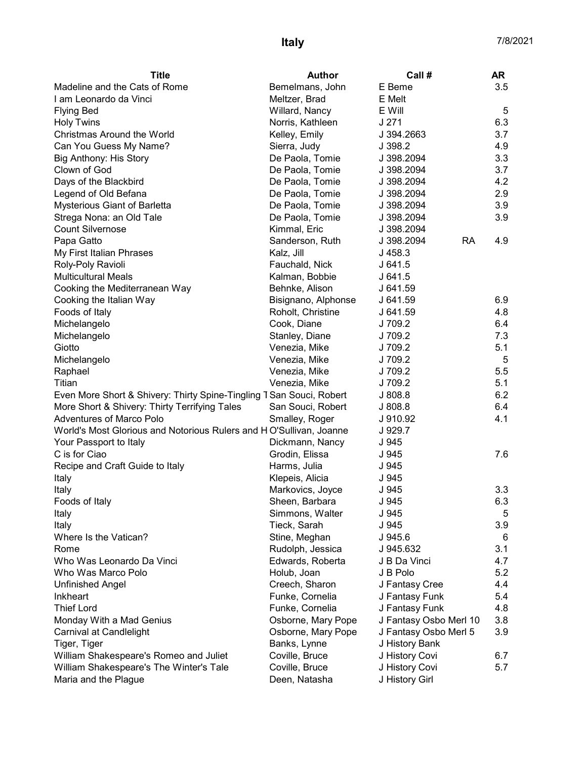| <b>Title</b>                                                         | <b>Author</b>       | Call #                  | <b>AR</b> |
|----------------------------------------------------------------------|---------------------|-------------------------|-----------|
| Madeline and the Cats of Rome                                        | Bemelmans, John     | E Beme                  | 3.5       |
| I am Leonardo da Vinci                                               | Meltzer, Brad       | E Melt                  |           |
| <b>Flying Bed</b>                                                    | Willard, Nancy      | E Will                  | 5         |
| <b>Holy Twins</b>                                                    | Norris, Kathleen    | J271                    | 6.3       |
| Christmas Around the World                                           | Kelley, Emily       | J 394.2663              | 3.7       |
| Can You Guess My Name?                                               | Sierra, Judy        | J 398.2                 | 4.9       |
| Big Anthony: His Story                                               | De Paola, Tomie     | J 398.2094              | 3.3       |
| Clown of God                                                         | De Paola, Tomie     | J 398.2094              | 3.7       |
| Days of the Blackbird                                                | De Paola, Tomie     | J 398.2094              | 4.2       |
| Legend of Old Befana                                                 | De Paola, Tomie     | J 398.2094              | 2.9       |
| Mysterious Giant of Barletta                                         | De Paola, Tomie     | J 398.2094              | 3.9       |
| Strega Nona: an Old Tale                                             | De Paola, Tomie     | J 398.2094              | 3.9       |
| <b>Count Silvernose</b>                                              | Kimmal, Eric        | J 398.2094              |           |
| Papa Gatto                                                           | Sanderson, Ruth     | J 398.2094<br><b>RA</b> | 4.9       |
| My First Italian Phrases                                             | Kalz, Jill          | J 458.3                 |           |
| Roly-Poly Ravioli                                                    | Fauchald, Nick      | J641.5                  |           |
| <b>Multicultural Meals</b>                                           | Kalman, Bobbie      | J641.5                  |           |
| Cooking the Mediterranean Way                                        | Behnke, Alison      | J 641.59                |           |
| Cooking the Italian Way                                              | Bisignano, Alphonse | J 641.59                | 6.9       |
| Foods of Italy                                                       | Roholt, Christine   | J 641.59                | 4.8       |
| Michelangelo                                                         | Cook, Diane         | J 709.2                 | 6.4       |
| Michelangelo                                                         | Stanley, Diane      | J 709.2                 | 7.3       |
| Giotto                                                               | Venezia, Mike       | J 709.2                 | 5.1       |
| Michelangelo                                                         | Venezia, Mike       | J 709.2                 | 5         |
| Raphael                                                              | Venezia, Mike       | J 709.2                 | 5.5       |
| Titian                                                               | Venezia, Mike       | J 709.2                 | 5.1       |
| Even More Short & Shivery: Thirty Spine-Tingling T San Souci, Robert |                     | J 808.8                 | 6.2       |
| More Short & Shivery: Thirty Terrifying Tales                        | San Souci, Robert   | J 808.8                 | 6.4       |
| Adventures of Marco Polo                                             | Smalley, Roger      | J 910.92                | 4.1       |
| World's Most Glorious and Notorious Rulers and HO'Sullivan, Joanne   |                     | J 929.7                 |           |
| Your Passport to Italy                                               | Dickmann, Nancy     | J 945                   |           |
| C is for Ciao                                                        | Grodin, Elissa      | J 945                   | 7.6       |
| Recipe and Craft Guide to Italy                                      | Harms, Julia        | J 945                   |           |
| Italy                                                                | Klepeis, Alicia     | J 945                   |           |
| Italy                                                                | Markovics, Joyce    | J 945                   | 3.3       |
| Foods of Italy                                                       | Sheen, Barbara      | J 945                   | 6.3       |
| Italy                                                                | Simmons, Walter     | J 945                   | 5         |
| Italy                                                                | Tieck, Sarah        | J 945                   | 3.9       |
| Where Is the Vatican?                                                | Stine, Meghan       | J 945.6                 | 6         |
| Rome                                                                 | Rudolph, Jessica    | J 945.632               | 3.1       |
| Who Was Leonardo Da Vinci                                            | Edwards, Roberta    | J B Da Vinci            | 4.7       |
| Who Was Marco Polo                                                   | Holub, Joan         | J B Polo                | 5.2       |
| Unfinished Angel                                                     | Creech, Sharon      | J Fantasy Cree          | 4.4       |
| Inkheart                                                             | Funke, Cornelia     | J Fantasy Funk          | 5.4       |
| <b>Thief Lord</b>                                                    | Funke, Cornelia     | J Fantasy Funk          | 4.8       |
| Monday With a Mad Genius                                             | Osborne, Mary Pope  | J Fantasy Osbo Merl 10  | 3.8       |
| Carnival at Candlelight                                              | Osborne, Mary Pope  | J Fantasy Osbo Merl 5   | 3.9       |
| Tiger, Tiger                                                         | Banks, Lynne        | J History Bank          |           |
| William Shakespeare's Romeo and Juliet                               | Coville, Bruce      | J History Covi          | 6.7       |
| William Shakespeare's The Winter's Tale                              | Coville, Bruce      | J History Covi          | 5.7       |
| Maria and the Plague                                                 | Deen, Natasha       | J History Girl          |           |